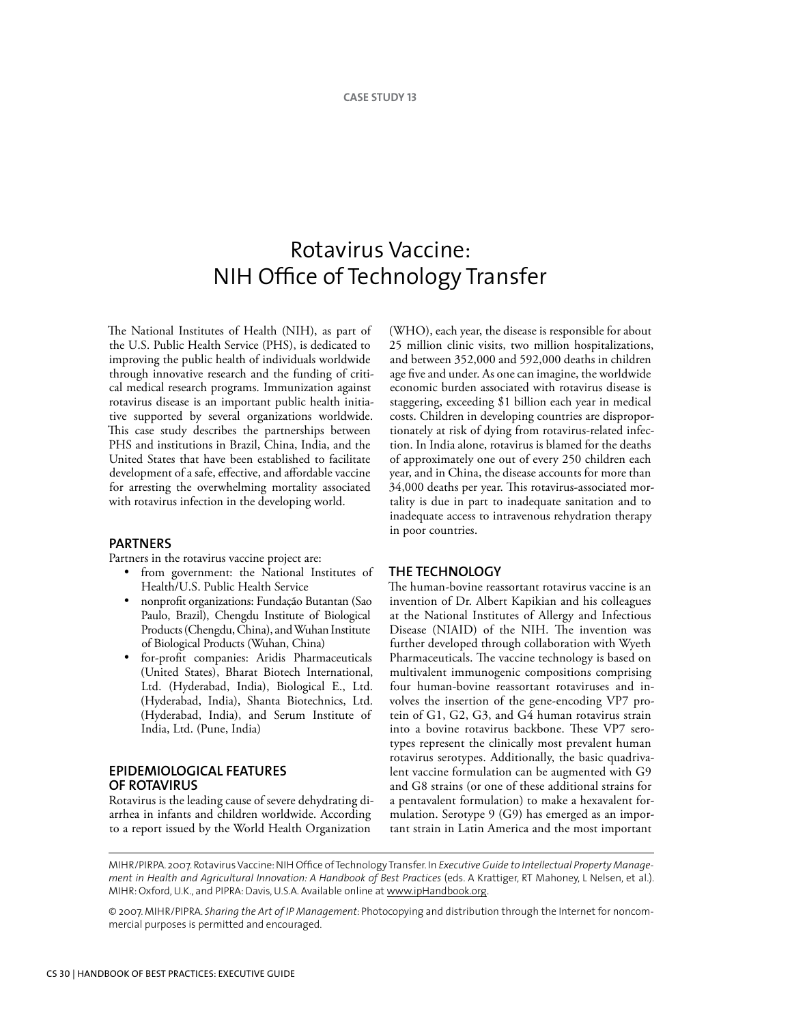# Rotavirus Vaccine: NIH Office of Technology Transfer

The National Institutes of Health (NIH), as part of the U.S. Public Health Service (PHS), is dedicated to improving the public health of individuals worldwide through innovative research and the funding of critical medical research programs. Immunization against rotavirus disease is an important public health initiative supported by several organizations worldwide. This case study describes the partnerships between PHS and institutions in Brazil, China, India, and the United States that have been established to facilitate development of a safe, effective, and affordable vaccine for arresting the overwhelming mortality associated with rotavirus infection in the developing world.

## **Partners**

Partners in the rotavirus vaccine project are:

- from government: the National Institutes of Health/U.S. Public Health Service
- nonprofit organizations: Fundação Butantan (Sao Paulo, Brazil), Chengdu Institute of Biological Products (Chengdu, China), and Wuhan Institute of Biological Products (Wuhan, China)
- for-profit companies: Aridis Pharmaceuticals (United States), Bharat Biotech International, Ltd. (Hyderabad, India), Biological E., Ltd. (Hyderabad, India), Shanta Biotechnics, Ltd. (Hyderabad, India), and Serum Institute of India, Ltd. (Pune, India)

# **Epidemiological Features of Rotavirus**

Rotavirus is the leading cause of severe dehydrating diarrhea in infants and children worldwide. According to a report issued by the World Health Organization

(WHO), each year, the disease is responsible for about 25 million clinic visits, two million hospitalizations, and between 352,000 and 592,000 deaths in children age five and under. As one can imagine, the worldwide economic burden associated with rotavirus disease is staggering, exceeding \$1 billion each year in medical costs. Children in developing countries are disproportionately at risk of dying from rotavirus-related infection. In India alone, rotavirus is blamed for the deaths of approximately one out of every 250 children each year, and in China, the disease accounts for more than 34,000 deaths per year. This rotavirus-associated mortality is due in part to inadequate sanitation and to inadequate access to intravenous rehydration therapy in poor countries.

#### **THE Technology**

The human-bovine reassortant rotavirus vaccine is an invention of Dr. Albert Kapikian and his colleagues at the National Institutes of Allergy and Infectious Disease (NIAID) of the NIH. The invention was further developed through collaboration with Wyeth Pharmaceuticals. The vaccine technology is based on multivalent immunogenic compositions comprising four human-bovine reassortant rotaviruses and involves the insertion of the gene-encoding VP7 protein of G1, G2, G3, and G4 human rotavirus strain into a bovine rotavirus backbone. These VP7 serotypes represent the clinically most prevalent human rotavirus serotypes. Additionally, the basic quadrivalent vaccine formulation can be augmented with G9 and G8 strains (or one of these additional strains for a pentavalent formulation) to make a hexavalent formulation. Serotype 9 (G9) has emerged as an important strain in Latin America and the most important

MIHR/PIRPA. 2007. Rotavirus Vaccine: NIH Office of Technology Transfer. In *Executive Guide to Intellectual Property Management in Health and Agricultural Innovation: A Handbook of Best Practices* (eds. A Krattiger, RT Mahoney, L Nelsen, et al.). MIHR: Oxford, U.K., and PIPRA: Davis, U.S.A. Available online at www.ipHandbook.org.

© 2007. MIHR/PIPRA. *Sharing the Art of IP Management*: Photocopying and distribution through the Internet for noncommercial purposes is permitted and encouraged.